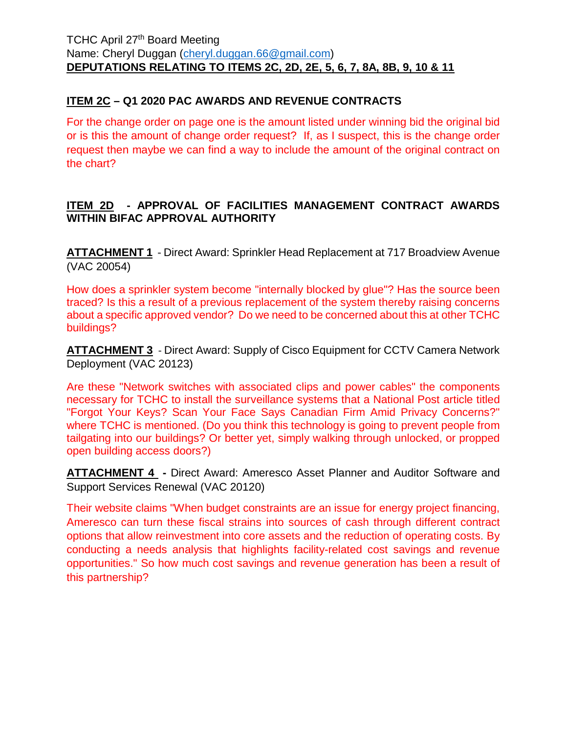# **ITEM 2C – Q1 2020 PAC AWARDS AND REVENUE CONTRACTS**

For the change order on page one is the amount listed under winning bid the original bid or is this the amount of change order request? If, as I suspect, this is the change order request then maybe we can find a way to include the amount of the original contract on the chart?

# **ITEM 2D - APPROVAL OF FACILITIES MANAGEMENT CONTRACT AWARDS WITHIN BIFAC APPROVAL AUTHORITY**

**ATTACHMENT 1 -** Direct Award: Sprinkler Head Replacement at 717 Broadview Avenue (VAC 20054)

How does a sprinkler system become "internally blocked by glue"? Has the source been traced? Is this a result of a previous replacement of the system thereby raising concerns about a specific approved vendor? Do we need to be concerned about this at other TCHC buildings?

**ATTACHMENT 3 -** Direct Award: Supply of Cisco Equipment for CCTV Camera Network Deployment (VAC 20123)

Are these "Network switches with associated clips and power cables" the components necessary for TCHC to install the surveillance systems that a National Post article titled "Forgot Your Keys? Scan Your Face Says Canadian Firm Amid Privacy Concerns?" where TCHC is mentioned. (Do you think this technology is going to prevent people from tailgating into our buildings? Or better yet, simply walking through unlocked, or propped open building access doors?)

**ATTACHMENT 4 -** Direct Award: Ameresco Asset Planner and Auditor Software and Support Services Renewal (VAC 20120)

Their website claims "When budget constraints are an issue for energy project financing, Ameresco can turn these fiscal strains into sources of cash through different contract options that allow reinvestment into core assets and the reduction of operating costs. By conducting a needs analysis that highlights facility-related cost savings and revenue opportunities." So how much cost savings and revenue generation has been a result of this partnership?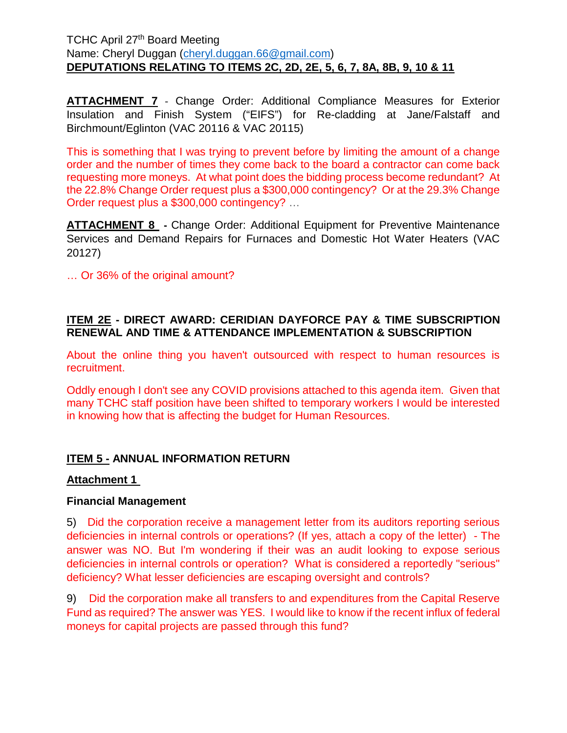**ATTACHMENT 7 -** Change Order: Additional Compliance Measures for Exterior Insulation and Finish System ("EIFS") for Re-cladding at Jane/Falstaff and Birchmount/Eglinton (VAC 20116 & VAC 20115)

This is something that I was trying to prevent before by limiting the amount of a change order and the number of times they come back to the board a contractor can come back requesting more moneys. At what point does the bidding process become redundant? At the 22.8% Change Order request plus a \$300,000 contingency? Or at the 29.3% Change Order request plus a \$300,000 contingency? …

**ATTACHMENT 8 -** Change Order: Additional Equipment for Preventive Maintenance Services and Demand Repairs for Furnaces and Domestic Hot Water Heaters (VAC 20127)

… Or 36% of the original amount?

# **ITEM 2E - DIRECT AWARD: CERIDIAN DAYFORCE PAY & TIME SUBSCRIPTION RENEWAL AND TIME & ATTENDANCE IMPLEMENTATION & SUBSCRIPTION**

About the online thing you haven't outsourced with respect to human resources is recruitment.

Oddly enough I don't see any COVID provisions attached to this agenda item. Given that many TCHC staff position have been shifted to temporary workers I would be interested in knowing how that is affecting the budget for Human Resources.

# **ITEM 5 - ANNUAL INFORMATION RETURN**

### **Attachment 1**

#### **Financial Management**

5) Did the corporation receive a management letter from its auditors reporting serious deficiencies in internal controls or operations? (If yes, attach a copy of the letter) - The answer was NO. But I'm wondering if their was an audit looking to expose serious deficiencies in internal controls or operation? What is considered a reportedly "serious" deficiency? What lesser deficiencies are escaping oversight and controls?

9) Did the corporation make all transfers to and expenditures from the Capital Reserve Fund as required? The answer was YES. I would like to know if the recent influx of federal moneys for capital projects are passed through this fund?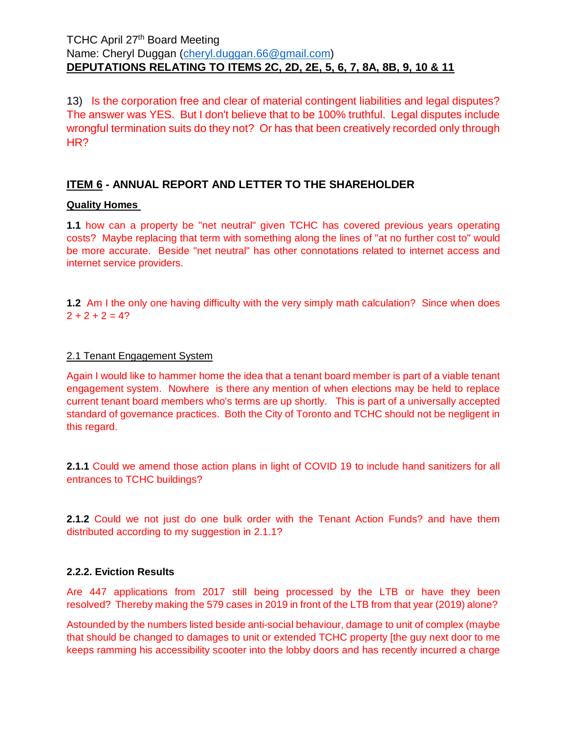13) Is the corporation free and clear of material contingent liabilities and legal disputes? The answer was YES. But I don't believe that to be 100% truthful. Legal disputes include wrongful termination suits do they not? Or has that been creatively recorded only through HR?

# **ITEM 6 - ANNUAL REPORT AND LETTER TO THE SHAREHOLDER**

### **Quality Homes**

**1.1** how can a property be "net neutral" given TCHC has covered previous years operating costs? Maybe replacing that term with something along the lines of "at no further cost to" would be more accurate. Beside "net neutral" has other connotations related to internet access and internet service providers.

**1.2** Am I the only one having difficulty with the very simply math calculation? Since when does  $2 + 2 + 2 = 4?$ 

#### 2.1 Tenant Engagement System

Again I would like to hammer home the idea that a tenant board member is part of a viable tenant engagement system. Nowhere is there any mention of when elections may be held to replace current tenant board members who's terms are up shortly. This is part of a universally accepted standard of governance practices. Both the City of Toronto and TCHC should not be negligent in this regard.

**2.1.1** Could we amend those action plans in light of COVID 19 to include hand sanitizers for all entrances to TCHC buildings?

**2.1.2** Could we not just do one bulk order with the Tenant Action Funds? and have them distributed according to my suggestion in 2.1.1?

#### **2.2.2. Eviction Results**

Are 447 applications from 2017 still being processed by the LTB or have they been resolved? Thereby making the 579 cases in 2019 in front of the LTB from that year (2019) alone?

Astounded by the numbers listed beside anti-social behaviour, damage to unit of complex (maybe that should be changed to damages to unit or extended TCHC property [the guy next door to me keeps ramming his accessibility scooter into the lobby doors and has recently incurred a charge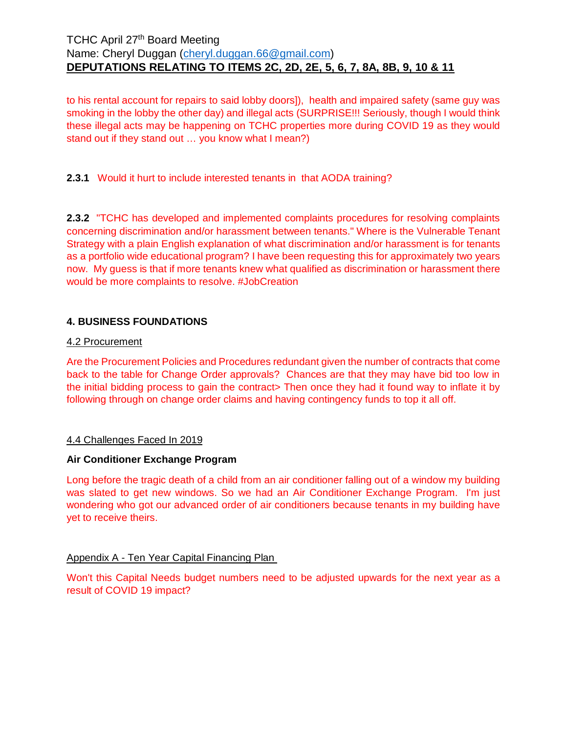to his rental account for repairs to said lobby doors]), health and impaired safety (same guy was smoking in the lobby the other day) and illegal acts (SURPRISE!!! Seriously, though I would think these illegal acts may be happening on TCHC properties more during COVID 19 as they would stand out if they stand out … you know what I mean?)

**2.3.1** Would it hurt to include interested tenants in that AODA training?

**2.3.2** "TCHC has developed and implemented complaints procedures for resolving complaints concerning discrimination and/or harassment between tenants." Where is the Vulnerable Tenant Strategy with a plain English explanation of what discrimination and/or harassment is for tenants as a portfolio wide educational program? I have been requesting this for approximately two years now. My guess is that if more tenants knew what qualified as discrimination or harassment there would be more complaints to resolve. #JobCreation

### **4. BUSINESS FOUNDATIONS**

#### 4.2 Procurement

Are the Procurement Policies and Procedures redundant given the number of contracts that come back to the table for Change Order approvals? Chances are that they may have bid too low in the initial bidding process to gain the contract> Then once they had it found way to inflate it by following through on change order claims and having contingency funds to top it all off.

#### 4.4 Challenges Faced In 2019

#### **Air Conditioner Exchange Program**

Long before the tragic death of a child from an air conditioner falling out of a window my building was slated to get new windows. So we had an Air Conditioner Exchange Program. I'm just wondering who got our advanced order of air conditioners because tenants in my building have yet to receive theirs.

#### Appendix A - Ten Year Capital Financing Plan

Won't this Capital Needs budget numbers need to be adjusted upwards for the next year as a result of COVID 19 impact?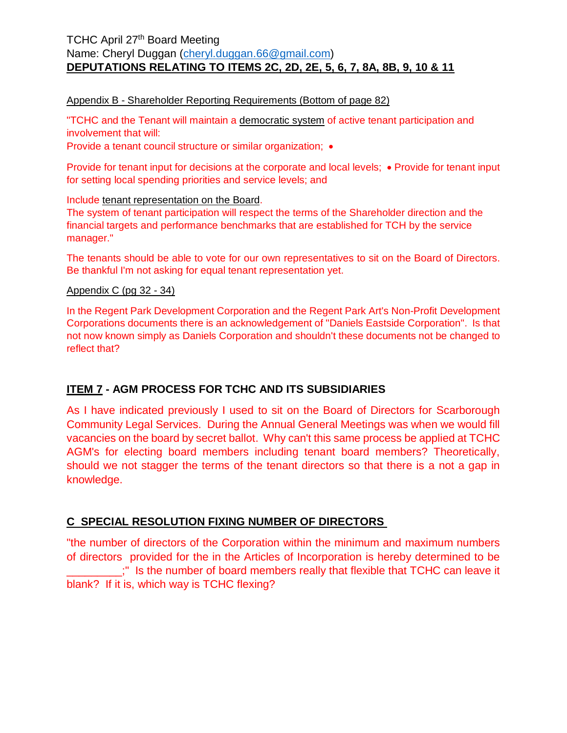#### Appendix B - Shareholder Reporting Requirements (Bottom of page 82)

"TCHC and the Tenant will maintain a democratic system of active tenant participation and involvement that will:

Provide a tenant council structure or similar organization; •

Provide for tenant input for decisions at the corporate and local levels; • Provide for tenant input for setting local spending priorities and service levels; and

Include tenant representation on the Board.

The system of tenant participation will respect the terms of the Shareholder direction and the financial targets and performance benchmarks that are established for TCH by the service manager."

The tenants should be able to vote for our own representatives to sit on the Board of Directors. Be thankful I'm not asking for equal tenant representation yet.

#### Appendix C (pg 32 - 34)

In the Regent Park Development Corporation and the Regent Park Art's Non-Profit Development Corporations documents there is an acknowledgement of "Daniels Eastside Corporation". Is that not now known simply as Daniels Corporation and shouldn't these documents not be changed to reflect that?

# **ITEM 7 - AGM PROCESS FOR TCHC AND ITS SUBSIDIARIES**

As I have indicated previously I used to sit on the Board of Directors for Scarborough Community Legal Services. During the Annual General Meetings was when we would fill vacancies on the board by secret ballot. Why can't this same process be applied at TCHC AGM's for electing board members including tenant board members? Theoretically, should we not stagger the terms of the tenant directors so that there is a not a gap in knowledge.

### **C SPECIAL RESOLUTION FIXING NUMBER OF DIRECTORS**

"the number of directors of the Corporation within the minimum and maximum numbers of directors provided for the in the Articles of Incorporation is hereby determined to be ..." Is the number of board members really that flexible that TCHC can leave it blank? If it is, which way is TCHC flexing?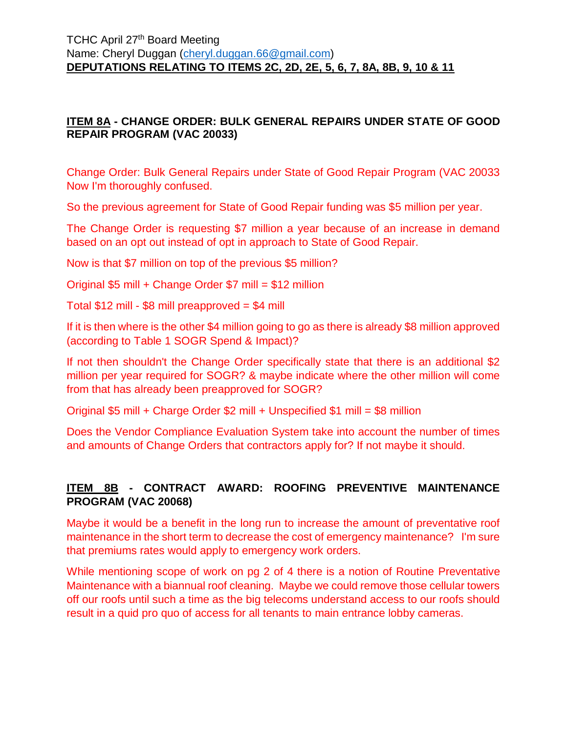# **ITEM 8A - CHANGE ORDER: BULK GENERAL REPAIRS UNDER STATE OF GOOD REPAIR PROGRAM (VAC 20033)**

Change Order: Bulk General Repairs under State of Good Repair Program (VAC 20033 Now I'm thoroughly confused.

So the previous agreement for State of Good Repair funding was \$5 million per year.

The Change Order is requesting \$7 million a year because of an increase in demand based on an opt out instead of opt in approach to State of Good Repair.

Now is that \$7 million on top of the previous \$5 million?

Original \$5 mill + Change Order \$7 mill = \$12 million

Total  $$12$  mill -  $$8$  mill preapproved =  $$4$  mill

If it is then where is the other \$4 million going to go as there is already \$8 million approved (according to Table 1 SOGR Spend & Impact)?

If not then shouldn't the Change Order specifically state that there is an additional \$2 million per year required for SOGR? & maybe indicate where the other million will come from that has already been preapproved for SOGR?

Original \$5 mill + Charge Order \$2 mill + Unspecified \$1 mill = \$8 million

Does the Vendor Compliance Evaluation System take into account the number of times and amounts of Change Orders that contractors apply for? If not maybe it should.

# **ITEM 8B - CONTRACT AWARD: ROOFING PREVENTIVE MAINTENANCE PROGRAM (VAC 20068)**

Maybe it would be a benefit in the long run to increase the amount of preventative roof maintenance in the short term to decrease the cost of emergency maintenance? I'm sure that premiums rates would apply to emergency work orders.

While mentioning scope of work on pg 2 of 4 there is a notion of Routine Preventative Maintenance with a biannual roof cleaning. Maybe we could remove those cellular towers off our roofs until such a time as the big telecoms understand access to our roofs should result in a quid pro quo of access for all tenants to main entrance lobby cameras.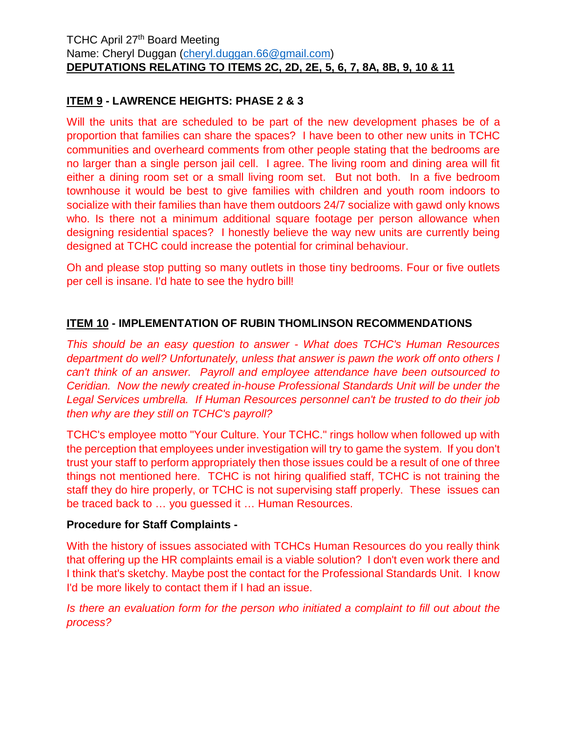# **ITEM 9 - LAWRENCE HEIGHTS: PHASE 2 & 3**

Will the units that are scheduled to be part of the new development phases be of a proportion that families can share the spaces? I have been to other new units in TCHC communities and overheard comments from other people stating that the bedrooms are no larger than a single person jail cell. I agree. The living room and dining area will fit either a dining room set or a small living room set. But not both. In a five bedroom townhouse it would be best to give families with children and youth room indoors to socialize with their families than have them outdoors 24/7 socialize with gawd only knows who. Is there not a minimum additional square footage per person allowance when designing residential spaces? I honestly believe the way new units are currently being designed at TCHC could increase the potential for criminal behaviour.

Oh and please stop putting so many outlets in those tiny bedrooms. Four or five outlets per cell is insane. I'd hate to see the hydro bill!

# **ITEM 10 - IMPLEMENTATION OF RUBIN THOMLINSON RECOMMENDATIONS**

*This should be an easy question to answer - What does TCHC's Human Resources department do well? Unfortunately, unless that answer is pawn the work off onto others I can't think of an answer. Payroll and employee attendance have been outsourced to Ceridian. Now the newly created in-house Professional Standards Unit will be under the Legal Services umbrella. If Human Resources personnel can't be trusted to do their job then why are they still on TCHC's payroll?* 

TCHC's employee motto "Your Culture. Your TCHC." rings hollow when followed up with the perception that employees under investigation will try to game the system. If you don't trust your staff to perform appropriately then those issues could be a result of one of three things not mentioned here. TCHC is not hiring qualified staff, TCHC is not training the staff they do hire properly, or TCHC is not supervising staff properly. These issues can be traced back to … you guessed it … Human Resources.

### **Procedure for Staff Complaints -**

With the history of issues associated with TCHCs Human Resources do you really think that offering up the HR complaints email is a viable solution? I don't even work there and I think that's sketchy. Maybe post the contact for the Professional Standards Unit. I know I'd be more likely to contact them if I had an issue.

*Is there an evaluation form for the person who initiated a complaint to fill out about the process?*